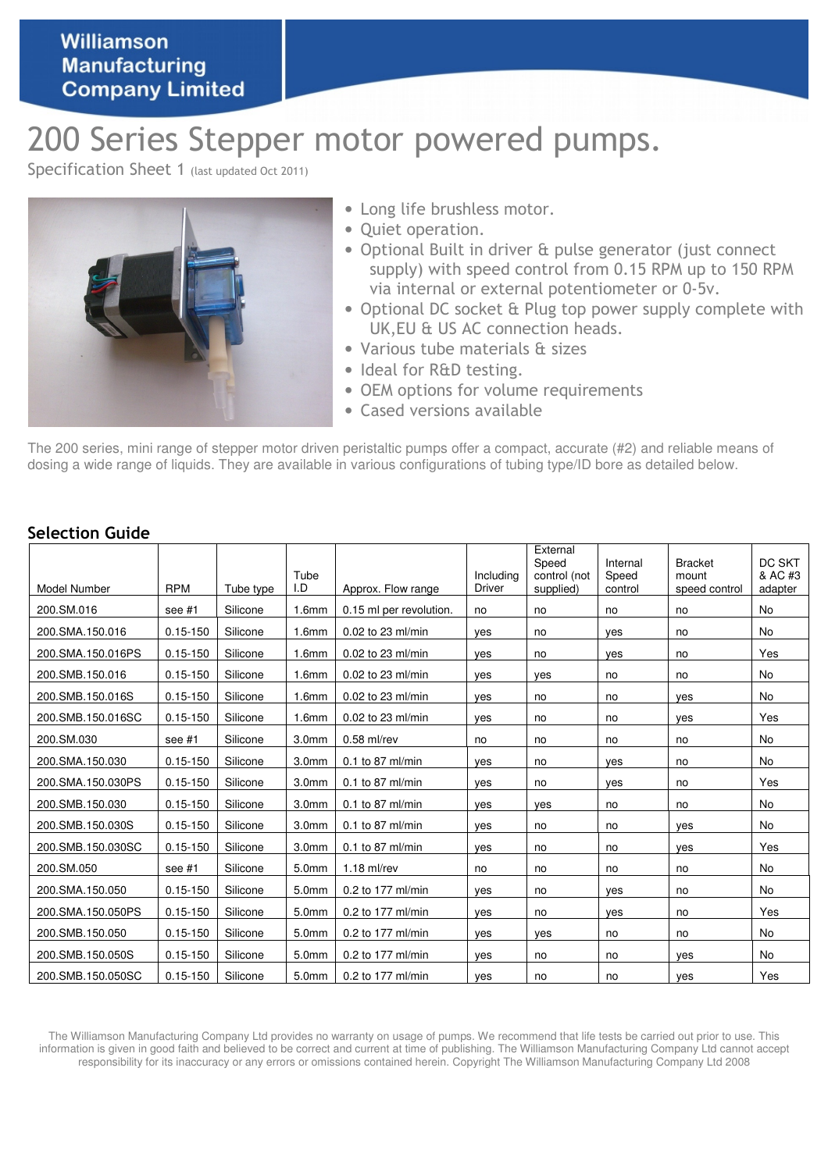## Williamson **Manufacturing Company Limited**

# 200 Series Stepper motor powered pumps.

Specification Sheet 1 (last updated Oct 2011)



- Long life brushless motor.
- Quiet operation.
- Optional Built in driver & pulse generator (just connect supply) with speed control from 0.15 RPM up to 150 RPM via internal or external potentiometer or 0-5v.
- Optional DC socket & Plug top power supply complete with UK,EU & US AC connection heads.
- Various tube materials & sizes
- Ideal for R&D testing.
- OEM options for volume requirements
- Cased versions available

The 200 series, mini range of stepper motor driven peristaltic pumps offer a compact, accurate (#2) and reliable means of dosing a wide range of liquids. They are available in various configurations of tubing type/ID bore as detailed below.

| Model Number      | <b>RPM</b>   | Tube type | Tube<br>I.D       | Approx. Flow range      | Includina<br>Driver | External<br>Speed<br>control (not<br>supplied) | Internal<br>Speed<br>control | <b>Bracket</b><br>mount<br>speed control | DC SKT<br>& AC #3<br>adapter |
|-------------------|--------------|-----------|-------------------|-------------------------|---------------------|------------------------------------------------|------------------------------|------------------------------------------|------------------------------|
| 200.SM.016        | see #1       | Silicone  | 1.6mm             | 0.15 ml per revolution. | no                  | no                                             | no                           | no                                       | <b>No</b>                    |
| 200.SMA.150.016   | $0.15 - 150$ | Silicone  | 1.6mm             | 0.02 to 23 ml/min       | ves                 | no                                             | ves                          | no                                       | No                           |
| 200.SMA.150.016PS | $0.15 - 150$ | Silicone  | 1.6mm             | 0.02 to 23 ml/min       | yes                 | no                                             | yes                          | no                                       | Yes                          |
| 200.SMB.150.016   | $0.15 - 150$ | Silicone  | 1.6mm             | 0.02 to 23 ml/min       | yes                 | ves                                            | no                           | no                                       | No                           |
| 200.SMB.150.016S  | $0.15 - 150$ | Silicone  | 1.6mm             | 0.02 to 23 ml/min       | yes                 | no                                             | no                           | yes                                      | No                           |
| 200.SMB.150.016SC | $0.15 - 150$ | Silicone  | 1.6 <sub>mm</sub> | 0.02 to 23 ml/min       | yes                 | no                                             | no                           | yes                                      | Yes                          |
| 200.SM.030        | see #1       | Silicone  | 3.0 <sub>mm</sub> | $0.58$ ml/rev           | no                  | no                                             | no                           | no                                       | No                           |
| 200.SMA.150.030   | $0.15 - 150$ | Silicone  | 3.0 <sub>mm</sub> | 0.1 to 87 ml/min        | yes                 | no                                             | yes                          | no                                       | No                           |
| 200.SMA.150.030PS | $0.15 - 150$ | Silicone  | 3.0 <sub>mm</sub> | 0.1 to 87 ml/min        | yes                 | no                                             | yes                          | no                                       | Yes                          |
| 200.SMB.150.030   | $0.15 - 150$ | Silicone  | 3.0 <sub>mm</sub> | 0.1 to 87 ml/min        | ves                 | ves                                            | no                           | no                                       | No                           |
| 200.SMB.150.030S  | $0.15 - 150$ | Silicone  | 3.0 <sub>mm</sub> | $0.1$ to 87 ml/min      | yes                 | no                                             | no                           | ves                                      | <b>No</b>                    |
| 200.SMB.150.030SC | $0.15 - 150$ | Silicone  | 3.0 <sub>mm</sub> | 0.1 to 87 ml/min        | yes                 | no                                             | no                           | ves                                      | Yes                          |
| 200.SM.050        | see #1       | Silicone  | 5.0mm             | $1.18$ ml/rev           | no                  | no                                             | no                           | no                                       | No                           |
| 200.SMA.150.050   | $0.15 - 150$ | Silicone  | 5.0mm             | 0.2 to 177 ml/min       | yes                 | no                                             | ves                          | no                                       | <b>No</b>                    |
| 200.SMA.150.050PS | $0.15 - 150$ | Silicone  | 5.0mm             | 0.2 to 177 ml/min       | ves                 | no                                             | yes                          | no                                       | Yes                          |
| 200.SMB.150.050   | $0.15 - 150$ | Silicone  | 5.0mm             | 0.2 to 177 ml/min       | ves                 | ves                                            | no                           | no                                       | <b>No</b>                    |
| 200.SMB.150.050S  | $0.15 - 150$ | Silicone  | 5.0mm             | 0.2 to 177 ml/min       | yes                 | no                                             | no                           | yes                                      | <b>No</b>                    |
| 200.SMB.150.050SC | $0.15 - 150$ | Silicone  | 5.0mm             | 0.2 to 177 ml/min       | yes                 | no                                             | no                           | yes                                      | Yes                          |

#### Selection Guide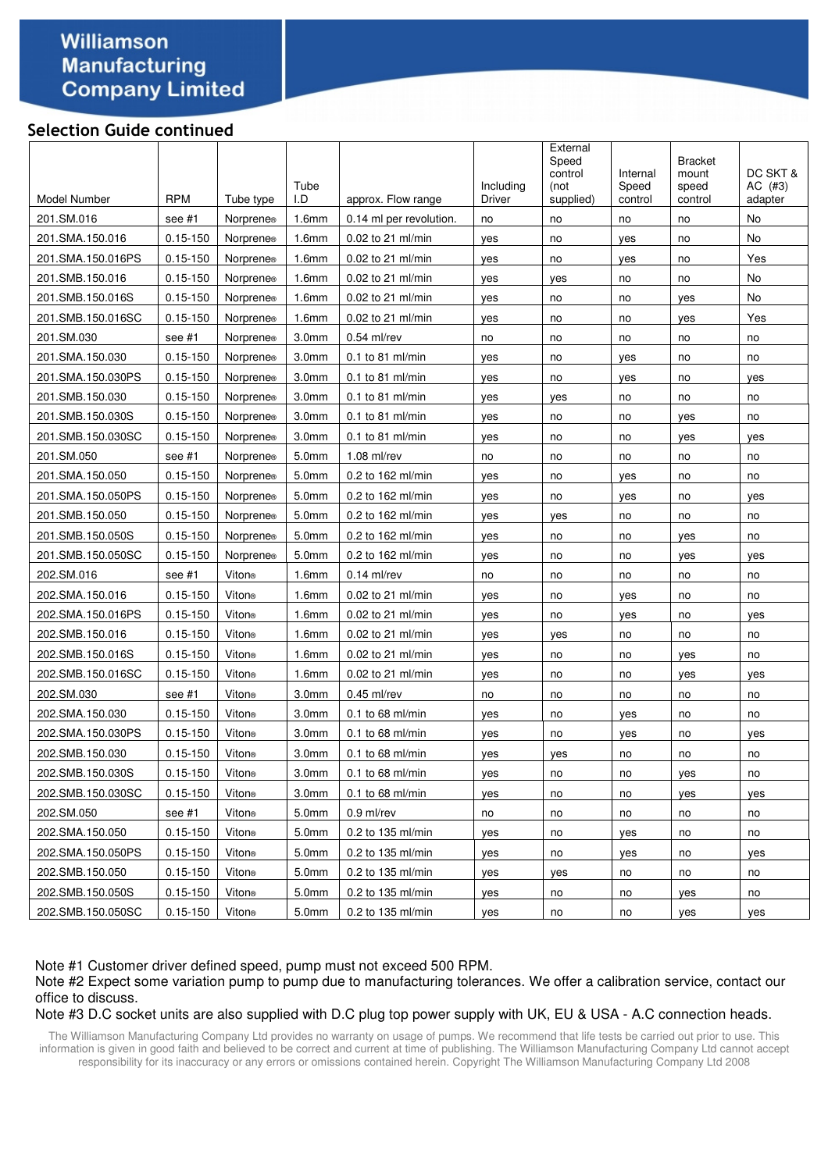## Williamson **Manufacturing Company Limited**

#### Selection Guide continued

| 201.SM.016<br>1.6mm<br>No<br>see #1<br><b>Norprene</b> ®<br>0.14 ml per revolution.<br>no<br>no<br>no<br>no<br>201.SMA.150.016<br>$0.15 - 150$<br>0.02 to 21 ml/min<br>No<br><b>Norprene</b> ®<br>1.6 <sub>mm</sub><br>yes<br>no<br>yes<br>no<br>201.SMA.150.016PS<br>$0.15 - 150$<br>0.02 to 21 ml/min<br>Yes<br>Norprene®<br>1.6 <sub>mm</sub><br>no<br>no<br>yes<br>yes<br>201.SMB.150.016<br>$0.15 - 150$<br>No<br><b>Norprene</b> ®<br>1.6 <sub>mm</sub><br>0.02 to 21 ml/min<br>yes<br>no<br>no<br>yes<br>201.SMB.150.016S<br>$0.15 - 150$<br>$0.02$ to 21 ml/min<br>No<br><b>Norprene</b> ®<br>1.6mm<br>yes<br>no<br>no<br>yes<br>Yes<br>201.SMB.150.016SC<br>$0.15 - 150$<br><b>Norprene</b> ®<br>1.6 <sub>mm</sub><br>$0.02$ to 21 ml/min<br>no<br>no<br>yes<br>yes<br>201.SM.030<br>$0.54$ ml/rev<br>see $#1$<br>Norprene®<br>3.0 <sub>mm</sub><br>no<br>no<br>no<br>no<br>no<br>$0.15 - 150$<br>201.SMA.150.030<br>3.0 <sub>mm</sub><br>$0.1$ to 81 ml/min<br><b>Norprene</b> ®<br>yes<br>no<br>yes<br>no<br>no<br>201.SMA.150.030PS<br>$0.15 - 150$<br>3.0 <sub>mm</sub><br><b>Norprene</b> ®<br>$0.1$ to 81 ml/min<br>no<br>yes<br>no<br>yes<br>yes<br>201.SMB.150.030<br>$0.15 - 150$<br>3.0 <sub>mm</sub><br>$0.1$ to 81 ml/min<br>Norprene®<br>yes<br>yes<br>no<br>no<br>no<br>201.SMB.150.030S<br>$0.15 - 150$<br>$0.1$ to 81 ml/min<br>Norprene®<br>3.0 <sub>mm</sub><br>yes<br>no<br>no<br>no<br>yes<br>201.SMB.150.030SC<br>$0.15 - 150$<br>3.0 <sub>mm</sub><br>$0.1$ to 81 ml/min<br><b>Norprene</b> ®<br>yes<br>no<br>no<br>yes<br>yes<br>201.SM.050<br>see #1<br>5.0mm<br>$1.08$ ml/rev<br>Norprene <sup>®</sup><br>no<br>no<br>no<br>no<br>no<br>201.SMA.150.050<br>$0.15 - 150$<br>0.2 to 162 ml/min<br>Norprene®<br>5.0 <sub>mm</sub><br>yes<br>no<br>no<br>yes<br>no<br>201.SMA.150.050PS<br>$0.15 - 150$<br>5.0mm<br>0.2 to 162 ml/min<br>Norprene®<br>no<br>yes<br>no<br>yes<br>yes<br>201.SMB.150.050<br>$0.15 - 150$<br>0.2 to 162 ml/min<br>5.0mm<br>Norprene <sup>®</sup><br>yes<br>yes<br>no<br>no<br>no<br>201.SMB.150.050S<br>$0.15 - 150$<br>5.0mm<br>0.2 to 162 ml/min<br>Norprene <sup>®</sup><br>yes<br>no<br>no<br>yes<br>no<br>201.SMB.150.050SC<br>$0.15 - 150$<br>5.0mm<br>0.2 to 162 ml/min<br>Norprene <sup>®</sup><br>yes<br>no<br>no<br>yes<br>yes<br>202.SM.016<br>Viton®<br>$0.14$ ml/rev<br>see #1<br>1.6 <sub>mm</sub><br>no<br>no<br>no<br>no<br>no<br>202.SMA.150.016<br>$0.15 - 150$<br>Viton®<br>1.6mm<br>0.02 to 21 ml/min<br>yes<br>no<br>yes<br>no<br>no<br>202.SMA.150.016PS<br>$0.15 - 150$<br>Viton®<br>0.02 to 21 ml/min<br>1.6 <sub>mm</sub><br>yes<br>no<br>yes<br>no<br>yes<br>202.SMB.150.016<br>$0.15 - 150$<br>Viton®<br>0.02 to 21 ml/min<br>1.6 <sub>mm</sub><br>no<br>no<br>yes<br>yes<br>no<br>202.SMB.150.016S<br>$0.15 - 150$<br>Viton®<br>0.02 to 21 ml/min<br>1.6 <sub>mm</sub><br>no<br>no<br>no<br>yes<br>yes<br>202.SMB.150.016SC<br>$0.15 - 150$<br>Viton®<br>1.6mm<br>0.02 to 21 ml/min<br>yes<br>no<br>no<br>yes<br>yes<br>Viton®<br>3.0 <sub>mm</sub><br>$0.45$ ml/rev<br>202.SM.030<br>see #1<br>no<br>no<br>no<br>no<br>no<br>202.SMA.150.030<br>$0.15 - 150$<br>3.0 <sub>mm</sub><br>0.1 to 68 ml/min<br>Viton⊚<br>no<br>yes<br>no<br>no<br>yes<br>202.SMA.150.030PS<br>$0.15 - 150$<br>Viton®<br>3.0 <sub>mm</sub><br>$0.1$ to 68 ml/min<br>no<br>no<br>yes<br>yes<br>yes<br>202.SMB.150.030<br>$0.15 - 150$<br>Viton®<br>3.0 <sub>mm</sub><br>$0.1$ to 68 ml/min<br>yes<br>no<br>no<br>no<br>yes<br>202.SMB.150.030S<br>$0.15 - 150$<br>0.1 to 68 ml/min<br>3.0 <sub>mm</sub><br>Viton®<br>no<br>yes<br>yes<br>no<br>no<br>202.SMB.150.030SC<br>$0.15 - 150$<br>Viton®<br>3.0 <sub>mm</sub><br>0.1 to 68 ml/min<br>no<br>no<br>yes<br>yes<br>yes<br>202.SM.050<br>see #1<br>Viton®<br>5.0mm<br>$0.9$ ml/rev<br>no<br>no<br>no<br>no<br>no<br>5.0mm<br>0.2 to 135 ml/min<br>202.SMA.150.050<br>$0.15 - 150$<br>Viton®<br>no<br>yes<br>no<br>no<br>yes<br>202.SMA.150.050PS<br>$0.15 - 150$<br>Viton®<br>5.0mm<br>0.2 to 135 ml/min<br>no<br>no<br>yes<br>yes<br>yes<br>202.SMB.150.050<br>$0.15 - 150$<br>5.0mm<br>0.2 to 135 ml/min<br>Viton⊛<br>no<br>no<br>yes<br>yes<br>no<br>5.0mm<br>202.SMB.150.050S<br>$0.15 - 150$<br>Viton®<br>0.2 to 135 ml/min<br>no<br>yes<br>no<br>yes<br>no<br>5.0 <sub>mm</sub><br>202.SMB.150.050SC<br>$0.15 - 150$<br>Viton®<br>0.2 to 135 ml/min<br>no<br>yes<br>yes<br>yes<br>no | Model Number | <b>RPM</b> | Tube type | Tube<br>I.D | approx. Flow range | Including<br>Driver | External<br>Speed<br>control<br>(not<br>supplied) | Internal<br>Speed<br>control | <b>Bracket</b><br>mount<br>speed<br>control | DC SKT &<br>$AC$ (#3)<br>adapter |
|---------------------------------------------------------------------------------------------------------------------------------------------------------------------------------------------------------------------------------------------------------------------------------------------------------------------------------------------------------------------------------------------------------------------------------------------------------------------------------------------------------------------------------------------------------------------------------------------------------------------------------------------------------------------------------------------------------------------------------------------------------------------------------------------------------------------------------------------------------------------------------------------------------------------------------------------------------------------------------------------------------------------------------------------------------------------------------------------------------------------------------------------------------------------------------------------------------------------------------------------------------------------------------------------------------------------------------------------------------------------------------------------------------------------------------------------------------------------------------------------------------------------------------------------------------------------------------------------------------------------------------------------------------------------------------------------------------------------------------------------------------------------------------------------------------------------------------------------------------------------------------------------------------------------------------------------------------------------------------------------------------------------------------------------------------------------------------------------------------------------------------------------------------------------------------------------------------------------------------------------------------------------------------------------------------------------------------------------------------------------------------------------------------------------------------------------------------------------------------------------------------------------------------------------------------------------------------------------------------------------------------------------------------------------------------------------------------------------------------------------------------------------------------------------------------------------------------------------------------------------------------------------------------------------------------------------------------------------------------------------------------------------------------------------------------------------------------------------------------------------------------------------------------------------------------------------------------------------------------------------------------------------------------------------------------------------------------------------------------------------------------------------------------------------------------------------------------------------------------------------------------------------------------------------------------------------------------------------------------------------------------------------------------------------------------------------------------------------------------------------------------------------------------------------------------------------------------------------------------------------------------------------------------------------------------------------------------------------------------------------------------------------------------------------------------------------------------------------------------------------------------------------------------------------------------------------------------------------------------------------------------------------------------------------------------------------------------------------------------------------------------------------------------------|--------------|------------|-----------|-------------|--------------------|---------------------|---------------------------------------------------|------------------------------|---------------------------------------------|----------------------------------|
|                                                                                                                                                                                                                                                                                                                                                                                                                                                                                                                                                                                                                                                                                                                                                                                                                                                                                                                                                                                                                                                                                                                                                                                                                                                                                                                                                                                                                                                                                                                                                                                                                                                                                                                                                                                                                                                                                                                                                                                                                                                                                                                                                                                                                                                                                                                                                                                                                                                                                                                                                                                                                                                                                                                                                                                                                                                                                                                                                                                                                                                                                                                                                                                                                                                                                                                                                                                                                                                                                                                                                                                                                                                                                                                                                                                                                                                                                                                                                                                                                                                                                                                                                                                                                                                                                                                                                                                                               |              |            |           |             |                    |                     |                                                   |                              |                                             |                                  |
|                                                                                                                                                                                                                                                                                                                                                                                                                                                                                                                                                                                                                                                                                                                                                                                                                                                                                                                                                                                                                                                                                                                                                                                                                                                                                                                                                                                                                                                                                                                                                                                                                                                                                                                                                                                                                                                                                                                                                                                                                                                                                                                                                                                                                                                                                                                                                                                                                                                                                                                                                                                                                                                                                                                                                                                                                                                                                                                                                                                                                                                                                                                                                                                                                                                                                                                                                                                                                                                                                                                                                                                                                                                                                                                                                                                                                                                                                                                                                                                                                                                                                                                                                                                                                                                                                                                                                                                                               |              |            |           |             |                    |                     |                                                   |                              |                                             |                                  |
|                                                                                                                                                                                                                                                                                                                                                                                                                                                                                                                                                                                                                                                                                                                                                                                                                                                                                                                                                                                                                                                                                                                                                                                                                                                                                                                                                                                                                                                                                                                                                                                                                                                                                                                                                                                                                                                                                                                                                                                                                                                                                                                                                                                                                                                                                                                                                                                                                                                                                                                                                                                                                                                                                                                                                                                                                                                                                                                                                                                                                                                                                                                                                                                                                                                                                                                                                                                                                                                                                                                                                                                                                                                                                                                                                                                                                                                                                                                                                                                                                                                                                                                                                                                                                                                                                                                                                                                                               |              |            |           |             |                    |                     |                                                   |                              |                                             |                                  |
|                                                                                                                                                                                                                                                                                                                                                                                                                                                                                                                                                                                                                                                                                                                                                                                                                                                                                                                                                                                                                                                                                                                                                                                                                                                                                                                                                                                                                                                                                                                                                                                                                                                                                                                                                                                                                                                                                                                                                                                                                                                                                                                                                                                                                                                                                                                                                                                                                                                                                                                                                                                                                                                                                                                                                                                                                                                                                                                                                                                                                                                                                                                                                                                                                                                                                                                                                                                                                                                                                                                                                                                                                                                                                                                                                                                                                                                                                                                                                                                                                                                                                                                                                                                                                                                                                                                                                                                                               |              |            |           |             |                    |                     |                                                   |                              |                                             |                                  |
|                                                                                                                                                                                                                                                                                                                                                                                                                                                                                                                                                                                                                                                                                                                                                                                                                                                                                                                                                                                                                                                                                                                                                                                                                                                                                                                                                                                                                                                                                                                                                                                                                                                                                                                                                                                                                                                                                                                                                                                                                                                                                                                                                                                                                                                                                                                                                                                                                                                                                                                                                                                                                                                                                                                                                                                                                                                                                                                                                                                                                                                                                                                                                                                                                                                                                                                                                                                                                                                                                                                                                                                                                                                                                                                                                                                                                                                                                                                                                                                                                                                                                                                                                                                                                                                                                                                                                                                                               |              |            |           |             |                    |                     |                                                   |                              |                                             |                                  |
|                                                                                                                                                                                                                                                                                                                                                                                                                                                                                                                                                                                                                                                                                                                                                                                                                                                                                                                                                                                                                                                                                                                                                                                                                                                                                                                                                                                                                                                                                                                                                                                                                                                                                                                                                                                                                                                                                                                                                                                                                                                                                                                                                                                                                                                                                                                                                                                                                                                                                                                                                                                                                                                                                                                                                                                                                                                                                                                                                                                                                                                                                                                                                                                                                                                                                                                                                                                                                                                                                                                                                                                                                                                                                                                                                                                                                                                                                                                                                                                                                                                                                                                                                                                                                                                                                                                                                                                                               |              |            |           |             |                    |                     |                                                   |                              |                                             |                                  |
|                                                                                                                                                                                                                                                                                                                                                                                                                                                                                                                                                                                                                                                                                                                                                                                                                                                                                                                                                                                                                                                                                                                                                                                                                                                                                                                                                                                                                                                                                                                                                                                                                                                                                                                                                                                                                                                                                                                                                                                                                                                                                                                                                                                                                                                                                                                                                                                                                                                                                                                                                                                                                                                                                                                                                                                                                                                                                                                                                                                                                                                                                                                                                                                                                                                                                                                                                                                                                                                                                                                                                                                                                                                                                                                                                                                                                                                                                                                                                                                                                                                                                                                                                                                                                                                                                                                                                                                                               |              |            |           |             |                    |                     |                                                   |                              |                                             |                                  |
|                                                                                                                                                                                                                                                                                                                                                                                                                                                                                                                                                                                                                                                                                                                                                                                                                                                                                                                                                                                                                                                                                                                                                                                                                                                                                                                                                                                                                                                                                                                                                                                                                                                                                                                                                                                                                                                                                                                                                                                                                                                                                                                                                                                                                                                                                                                                                                                                                                                                                                                                                                                                                                                                                                                                                                                                                                                                                                                                                                                                                                                                                                                                                                                                                                                                                                                                                                                                                                                                                                                                                                                                                                                                                                                                                                                                                                                                                                                                                                                                                                                                                                                                                                                                                                                                                                                                                                                                               |              |            |           |             |                    |                     |                                                   |                              |                                             |                                  |
|                                                                                                                                                                                                                                                                                                                                                                                                                                                                                                                                                                                                                                                                                                                                                                                                                                                                                                                                                                                                                                                                                                                                                                                                                                                                                                                                                                                                                                                                                                                                                                                                                                                                                                                                                                                                                                                                                                                                                                                                                                                                                                                                                                                                                                                                                                                                                                                                                                                                                                                                                                                                                                                                                                                                                                                                                                                                                                                                                                                                                                                                                                                                                                                                                                                                                                                                                                                                                                                                                                                                                                                                                                                                                                                                                                                                                                                                                                                                                                                                                                                                                                                                                                                                                                                                                                                                                                                                               |              |            |           |             |                    |                     |                                                   |                              |                                             |                                  |
|                                                                                                                                                                                                                                                                                                                                                                                                                                                                                                                                                                                                                                                                                                                                                                                                                                                                                                                                                                                                                                                                                                                                                                                                                                                                                                                                                                                                                                                                                                                                                                                                                                                                                                                                                                                                                                                                                                                                                                                                                                                                                                                                                                                                                                                                                                                                                                                                                                                                                                                                                                                                                                                                                                                                                                                                                                                                                                                                                                                                                                                                                                                                                                                                                                                                                                                                                                                                                                                                                                                                                                                                                                                                                                                                                                                                                                                                                                                                                                                                                                                                                                                                                                                                                                                                                                                                                                                                               |              |            |           |             |                    |                     |                                                   |                              |                                             |                                  |
|                                                                                                                                                                                                                                                                                                                                                                                                                                                                                                                                                                                                                                                                                                                                                                                                                                                                                                                                                                                                                                                                                                                                                                                                                                                                                                                                                                                                                                                                                                                                                                                                                                                                                                                                                                                                                                                                                                                                                                                                                                                                                                                                                                                                                                                                                                                                                                                                                                                                                                                                                                                                                                                                                                                                                                                                                                                                                                                                                                                                                                                                                                                                                                                                                                                                                                                                                                                                                                                                                                                                                                                                                                                                                                                                                                                                                                                                                                                                                                                                                                                                                                                                                                                                                                                                                                                                                                                                               |              |            |           |             |                    |                     |                                                   |                              |                                             |                                  |
|                                                                                                                                                                                                                                                                                                                                                                                                                                                                                                                                                                                                                                                                                                                                                                                                                                                                                                                                                                                                                                                                                                                                                                                                                                                                                                                                                                                                                                                                                                                                                                                                                                                                                                                                                                                                                                                                                                                                                                                                                                                                                                                                                                                                                                                                                                                                                                                                                                                                                                                                                                                                                                                                                                                                                                                                                                                                                                                                                                                                                                                                                                                                                                                                                                                                                                                                                                                                                                                                                                                                                                                                                                                                                                                                                                                                                                                                                                                                                                                                                                                                                                                                                                                                                                                                                                                                                                                                               |              |            |           |             |                    |                     |                                                   |                              |                                             |                                  |
|                                                                                                                                                                                                                                                                                                                                                                                                                                                                                                                                                                                                                                                                                                                                                                                                                                                                                                                                                                                                                                                                                                                                                                                                                                                                                                                                                                                                                                                                                                                                                                                                                                                                                                                                                                                                                                                                                                                                                                                                                                                                                                                                                                                                                                                                                                                                                                                                                                                                                                                                                                                                                                                                                                                                                                                                                                                                                                                                                                                                                                                                                                                                                                                                                                                                                                                                                                                                                                                                                                                                                                                                                                                                                                                                                                                                                                                                                                                                                                                                                                                                                                                                                                                                                                                                                                                                                                                                               |              |            |           |             |                    |                     |                                                   |                              |                                             |                                  |
|                                                                                                                                                                                                                                                                                                                                                                                                                                                                                                                                                                                                                                                                                                                                                                                                                                                                                                                                                                                                                                                                                                                                                                                                                                                                                                                                                                                                                                                                                                                                                                                                                                                                                                                                                                                                                                                                                                                                                                                                                                                                                                                                                                                                                                                                                                                                                                                                                                                                                                                                                                                                                                                                                                                                                                                                                                                                                                                                                                                                                                                                                                                                                                                                                                                                                                                                                                                                                                                                                                                                                                                                                                                                                                                                                                                                                                                                                                                                                                                                                                                                                                                                                                                                                                                                                                                                                                                                               |              |            |           |             |                    |                     |                                                   |                              |                                             |                                  |
|                                                                                                                                                                                                                                                                                                                                                                                                                                                                                                                                                                                                                                                                                                                                                                                                                                                                                                                                                                                                                                                                                                                                                                                                                                                                                                                                                                                                                                                                                                                                                                                                                                                                                                                                                                                                                                                                                                                                                                                                                                                                                                                                                                                                                                                                                                                                                                                                                                                                                                                                                                                                                                                                                                                                                                                                                                                                                                                                                                                                                                                                                                                                                                                                                                                                                                                                                                                                                                                                                                                                                                                                                                                                                                                                                                                                                                                                                                                                                                                                                                                                                                                                                                                                                                                                                                                                                                                                               |              |            |           |             |                    |                     |                                                   |                              |                                             |                                  |
|                                                                                                                                                                                                                                                                                                                                                                                                                                                                                                                                                                                                                                                                                                                                                                                                                                                                                                                                                                                                                                                                                                                                                                                                                                                                                                                                                                                                                                                                                                                                                                                                                                                                                                                                                                                                                                                                                                                                                                                                                                                                                                                                                                                                                                                                                                                                                                                                                                                                                                                                                                                                                                                                                                                                                                                                                                                                                                                                                                                                                                                                                                                                                                                                                                                                                                                                                                                                                                                                                                                                                                                                                                                                                                                                                                                                                                                                                                                                                                                                                                                                                                                                                                                                                                                                                                                                                                                                               |              |            |           |             |                    |                     |                                                   |                              |                                             |                                  |
|                                                                                                                                                                                                                                                                                                                                                                                                                                                                                                                                                                                                                                                                                                                                                                                                                                                                                                                                                                                                                                                                                                                                                                                                                                                                                                                                                                                                                                                                                                                                                                                                                                                                                                                                                                                                                                                                                                                                                                                                                                                                                                                                                                                                                                                                                                                                                                                                                                                                                                                                                                                                                                                                                                                                                                                                                                                                                                                                                                                                                                                                                                                                                                                                                                                                                                                                                                                                                                                                                                                                                                                                                                                                                                                                                                                                                                                                                                                                                                                                                                                                                                                                                                                                                                                                                                                                                                                                               |              |            |           |             |                    |                     |                                                   |                              |                                             |                                  |
|                                                                                                                                                                                                                                                                                                                                                                                                                                                                                                                                                                                                                                                                                                                                                                                                                                                                                                                                                                                                                                                                                                                                                                                                                                                                                                                                                                                                                                                                                                                                                                                                                                                                                                                                                                                                                                                                                                                                                                                                                                                                                                                                                                                                                                                                                                                                                                                                                                                                                                                                                                                                                                                                                                                                                                                                                                                                                                                                                                                                                                                                                                                                                                                                                                                                                                                                                                                                                                                                                                                                                                                                                                                                                                                                                                                                                                                                                                                                                                                                                                                                                                                                                                                                                                                                                                                                                                                                               |              |            |           |             |                    |                     |                                                   |                              |                                             |                                  |
|                                                                                                                                                                                                                                                                                                                                                                                                                                                                                                                                                                                                                                                                                                                                                                                                                                                                                                                                                                                                                                                                                                                                                                                                                                                                                                                                                                                                                                                                                                                                                                                                                                                                                                                                                                                                                                                                                                                                                                                                                                                                                                                                                                                                                                                                                                                                                                                                                                                                                                                                                                                                                                                                                                                                                                                                                                                                                                                                                                                                                                                                                                                                                                                                                                                                                                                                                                                                                                                                                                                                                                                                                                                                                                                                                                                                                                                                                                                                                                                                                                                                                                                                                                                                                                                                                                                                                                                                               |              |            |           |             |                    |                     |                                                   |                              |                                             |                                  |
|                                                                                                                                                                                                                                                                                                                                                                                                                                                                                                                                                                                                                                                                                                                                                                                                                                                                                                                                                                                                                                                                                                                                                                                                                                                                                                                                                                                                                                                                                                                                                                                                                                                                                                                                                                                                                                                                                                                                                                                                                                                                                                                                                                                                                                                                                                                                                                                                                                                                                                                                                                                                                                                                                                                                                                                                                                                                                                                                                                                                                                                                                                                                                                                                                                                                                                                                                                                                                                                                                                                                                                                                                                                                                                                                                                                                                                                                                                                                                                                                                                                                                                                                                                                                                                                                                                                                                                                                               |              |            |           |             |                    |                     |                                                   |                              |                                             |                                  |
|                                                                                                                                                                                                                                                                                                                                                                                                                                                                                                                                                                                                                                                                                                                                                                                                                                                                                                                                                                                                                                                                                                                                                                                                                                                                                                                                                                                                                                                                                                                                                                                                                                                                                                                                                                                                                                                                                                                                                                                                                                                                                                                                                                                                                                                                                                                                                                                                                                                                                                                                                                                                                                                                                                                                                                                                                                                                                                                                                                                                                                                                                                                                                                                                                                                                                                                                                                                                                                                                                                                                                                                                                                                                                                                                                                                                                                                                                                                                                                                                                                                                                                                                                                                                                                                                                                                                                                                                               |              |            |           |             |                    |                     |                                                   |                              |                                             |                                  |
|                                                                                                                                                                                                                                                                                                                                                                                                                                                                                                                                                                                                                                                                                                                                                                                                                                                                                                                                                                                                                                                                                                                                                                                                                                                                                                                                                                                                                                                                                                                                                                                                                                                                                                                                                                                                                                                                                                                                                                                                                                                                                                                                                                                                                                                                                                                                                                                                                                                                                                                                                                                                                                                                                                                                                                                                                                                                                                                                                                                                                                                                                                                                                                                                                                                                                                                                                                                                                                                                                                                                                                                                                                                                                                                                                                                                                                                                                                                                                                                                                                                                                                                                                                                                                                                                                                                                                                                                               |              |            |           |             |                    |                     |                                                   |                              |                                             |                                  |
|                                                                                                                                                                                                                                                                                                                                                                                                                                                                                                                                                                                                                                                                                                                                                                                                                                                                                                                                                                                                                                                                                                                                                                                                                                                                                                                                                                                                                                                                                                                                                                                                                                                                                                                                                                                                                                                                                                                                                                                                                                                                                                                                                                                                                                                                                                                                                                                                                                                                                                                                                                                                                                                                                                                                                                                                                                                                                                                                                                                                                                                                                                                                                                                                                                                                                                                                                                                                                                                                                                                                                                                                                                                                                                                                                                                                                                                                                                                                                                                                                                                                                                                                                                                                                                                                                                                                                                                                               |              |            |           |             |                    |                     |                                                   |                              |                                             |                                  |
|                                                                                                                                                                                                                                                                                                                                                                                                                                                                                                                                                                                                                                                                                                                                                                                                                                                                                                                                                                                                                                                                                                                                                                                                                                                                                                                                                                                                                                                                                                                                                                                                                                                                                                                                                                                                                                                                                                                                                                                                                                                                                                                                                                                                                                                                                                                                                                                                                                                                                                                                                                                                                                                                                                                                                                                                                                                                                                                                                                                                                                                                                                                                                                                                                                                                                                                                                                                                                                                                                                                                                                                                                                                                                                                                                                                                                                                                                                                                                                                                                                                                                                                                                                                                                                                                                                                                                                                                               |              |            |           |             |                    |                     |                                                   |                              |                                             |                                  |
|                                                                                                                                                                                                                                                                                                                                                                                                                                                                                                                                                                                                                                                                                                                                                                                                                                                                                                                                                                                                                                                                                                                                                                                                                                                                                                                                                                                                                                                                                                                                                                                                                                                                                                                                                                                                                                                                                                                                                                                                                                                                                                                                                                                                                                                                                                                                                                                                                                                                                                                                                                                                                                                                                                                                                                                                                                                                                                                                                                                                                                                                                                                                                                                                                                                                                                                                                                                                                                                                                                                                                                                                                                                                                                                                                                                                                                                                                                                                                                                                                                                                                                                                                                                                                                                                                                                                                                                                               |              |            |           |             |                    |                     |                                                   |                              |                                             |                                  |
|                                                                                                                                                                                                                                                                                                                                                                                                                                                                                                                                                                                                                                                                                                                                                                                                                                                                                                                                                                                                                                                                                                                                                                                                                                                                                                                                                                                                                                                                                                                                                                                                                                                                                                                                                                                                                                                                                                                                                                                                                                                                                                                                                                                                                                                                                                                                                                                                                                                                                                                                                                                                                                                                                                                                                                                                                                                                                                                                                                                                                                                                                                                                                                                                                                                                                                                                                                                                                                                                                                                                                                                                                                                                                                                                                                                                                                                                                                                                                                                                                                                                                                                                                                                                                                                                                                                                                                                                               |              |            |           |             |                    |                     |                                                   |                              |                                             |                                  |
|                                                                                                                                                                                                                                                                                                                                                                                                                                                                                                                                                                                                                                                                                                                                                                                                                                                                                                                                                                                                                                                                                                                                                                                                                                                                                                                                                                                                                                                                                                                                                                                                                                                                                                                                                                                                                                                                                                                                                                                                                                                                                                                                                                                                                                                                                                                                                                                                                                                                                                                                                                                                                                                                                                                                                                                                                                                                                                                                                                                                                                                                                                                                                                                                                                                                                                                                                                                                                                                                                                                                                                                                                                                                                                                                                                                                                                                                                                                                                                                                                                                                                                                                                                                                                                                                                                                                                                                                               |              |            |           |             |                    |                     |                                                   |                              |                                             |                                  |
|                                                                                                                                                                                                                                                                                                                                                                                                                                                                                                                                                                                                                                                                                                                                                                                                                                                                                                                                                                                                                                                                                                                                                                                                                                                                                                                                                                                                                                                                                                                                                                                                                                                                                                                                                                                                                                                                                                                                                                                                                                                                                                                                                                                                                                                                                                                                                                                                                                                                                                                                                                                                                                                                                                                                                                                                                                                                                                                                                                                                                                                                                                                                                                                                                                                                                                                                                                                                                                                                                                                                                                                                                                                                                                                                                                                                                                                                                                                                                                                                                                                                                                                                                                                                                                                                                                                                                                                                               |              |            |           |             |                    |                     |                                                   |                              |                                             |                                  |
|                                                                                                                                                                                                                                                                                                                                                                                                                                                                                                                                                                                                                                                                                                                                                                                                                                                                                                                                                                                                                                                                                                                                                                                                                                                                                                                                                                                                                                                                                                                                                                                                                                                                                                                                                                                                                                                                                                                                                                                                                                                                                                                                                                                                                                                                                                                                                                                                                                                                                                                                                                                                                                                                                                                                                                                                                                                                                                                                                                                                                                                                                                                                                                                                                                                                                                                                                                                                                                                                                                                                                                                                                                                                                                                                                                                                                                                                                                                                                                                                                                                                                                                                                                                                                                                                                                                                                                                                               |              |            |           |             |                    |                     |                                                   |                              |                                             |                                  |
|                                                                                                                                                                                                                                                                                                                                                                                                                                                                                                                                                                                                                                                                                                                                                                                                                                                                                                                                                                                                                                                                                                                                                                                                                                                                                                                                                                                                                                                                                                                                                                                                                                                                                                                                                                                                                                                                                                                                                                                                                                                                                                                                                                                                                                                                                                                                                                                                                                                                                                                                                                                                                                                                                                                                                                                                                                                                                                                                                                                                                                                                                                                                                                                                                                                                                                                                                                                                                                                                                                                                                                                                                                                                                                                                                                                                                                                                                                                                                                                                                                                                                                                                                                                                                                                                                                                                                                                                               |              |            |           |             |                    |                     |                                                   |                              |                                             |                                  |
|                                                                                                                                                                                                                                                                                                                                                                                                                                                                                                                                                                                                                                                                                                                                                                                                                                                                                                                                                                                                                                                                                                                                                                                                                                                                                                                                                                                                                                                                                                                                                                                                                                                                                                                                                                                                                                                                                                                                                                                                                                                                                                                                                                                                                                                                                                                                                                                                                                                                                                                                                                                                                                                                                                                                                                                                                                                                                                                                                                                                                                                                                                                                                                                                                                                                                                                                                                                                                                                                                                                                                                                                                                                                                                                                                                                                                                                                                                                                                                                                                                                                                                                                                                                                                                                                                                                                                                                                               |              |            |           |             |                    |                     |                                                   |                              |                                             |                                  |
|                                                                                                                                                                                                                                                                                                                                                                                                                                                                                                                                                                                                                                                                                                                                                                                                                                                                                                                                                                                                                                                                                                                                                                                                                                                                                                                                                                                                                                                                                                                                                                                                                                                                                                                                                                                                                                                                                                                                                                                                                                                                                                                                                                                                                                                                                                                                                                                                                                                                                                                                                                                                                                                                                                                                                                                                                                                                                                                                                                                                                                                                                                                                                                                                                                                                                                                                                                                                                                                                                                                                                                                                                                                                                                                                                                                                                                                                                                                                                                                                                                                                                                                                                                                                                                                                                                                                                                                                               |              |            |           |             |                    |                     |                                                   |                              |                                             |                                  |
|                                                                                                                                                                                                                                                                                                                                                                                                                                                                                                                                                                                                                                                                                                                                                                                                                                                                                                                                                                                                                                                                                                                                                                                                                                                                                                                                                                                                                                                                                                                                                                                                                                                                                                                                                                                                                                                                                                                                                                                                                                                                                                                                                                                                                                                                                                                                                                                                                                                                                                                                                                                                                                                                                                                                                                                                                                                                                                                                                                                                                                                                                                                                                                                                                                                                                                                                                                                                                                                                                                                                                                                                                                                                                                                                                                                                                                                                                                                                                                                                                                                                                                                                                                                                                                                                                                                                                                                                               |              |            |           |             |                    |                     |                                                   |                              |                                             |                                  |
|                                                                                                                                                                                                                                                                                                                                                                                                                                                                                                                                                                                                                                                                                                                                                                                                                                                                                                                                                                                                                                                                                                                                                                                                                                                                                                                                                                                                                                                                                                                                                                                                                                                                                                                                                                                                                                                                                                                                                                                                                                                                                                                                                                                                                                                                                                                                                                                                                                                                                                                                                                                                                                                                                                                                                                                                                                                                                                                                                                                                                                                                                                                                                                                                                                                                                                                                                                                                                                                                                                                                                                                                                                                                                                                                                                                                                                                                                                                                                                                                                                                                                                                                                                                                                                                                                                                                                                                                               |              |            |           |             |                    |                     |                                                   |                              |                                             |                                  |
|                                                                                                                                                                                                                                                                                                                                                                                                                                                                                                                                                                                                                                                                                                                                                                                                                                                                                                                                                                                                                                                                                                                                                                                                                                                                                                                                                                                                                                                                                                                                                                                                                                                                                                                                                                                                                                                                                                                                                                                                                                                                                                                                                                                                                                                                                                                                                                                                                                                                                                                                                                                                                                                                                                                                                                                                                                                                                                                                                                                                                                                                                                                                                                                                                                                                                                                                                                                                                                                                                                                                                                                                                                                                                                                                                                                                                                                                                                                                                                                                                                                                                                                                                                                                                                                                                                                                                                                                               |              |            |           |             |                    |                     |                                                   |                              |                                             |                                  |
|                                                                                                                                                                                                                                                                                                                                                                                                                                                                                                                                                                                                                                                                                                                                                                                                                                                                                                                                                                                                                                                                                                                                                                                                                                                                                                                                                                                                                                                                                                                                                                                                                                                                                                                                                                                                                                                                                                                                                                                                                                                                                                                                                                                                                                                                                                                                                                                                                                                                                                                                                                                                                                                                                                                                                                                                                                                                                                                                                                                                                                                                                                                                                                                                                                                                                                                                                                                                                                                                                                                                                                                                                                                                                                                                                                                                                                                                                                                                                                                                                                                                                                                                                                                                                                                                                                                                                                                                               |              |            |           |             |                    |                     |                                                   |                              |                                             |                                  |

Note #1 Customer driver defined speed, pump must not exceed 500 RPM.

 Note #2 Expect some variation pump to pump due to manufacturing tolerances. We offer a calibration service, contact our office to discuss.

Note #3 D.C socket units are also supplied with D.C plug top power supply with UK, EU & USA - A.C connection heads.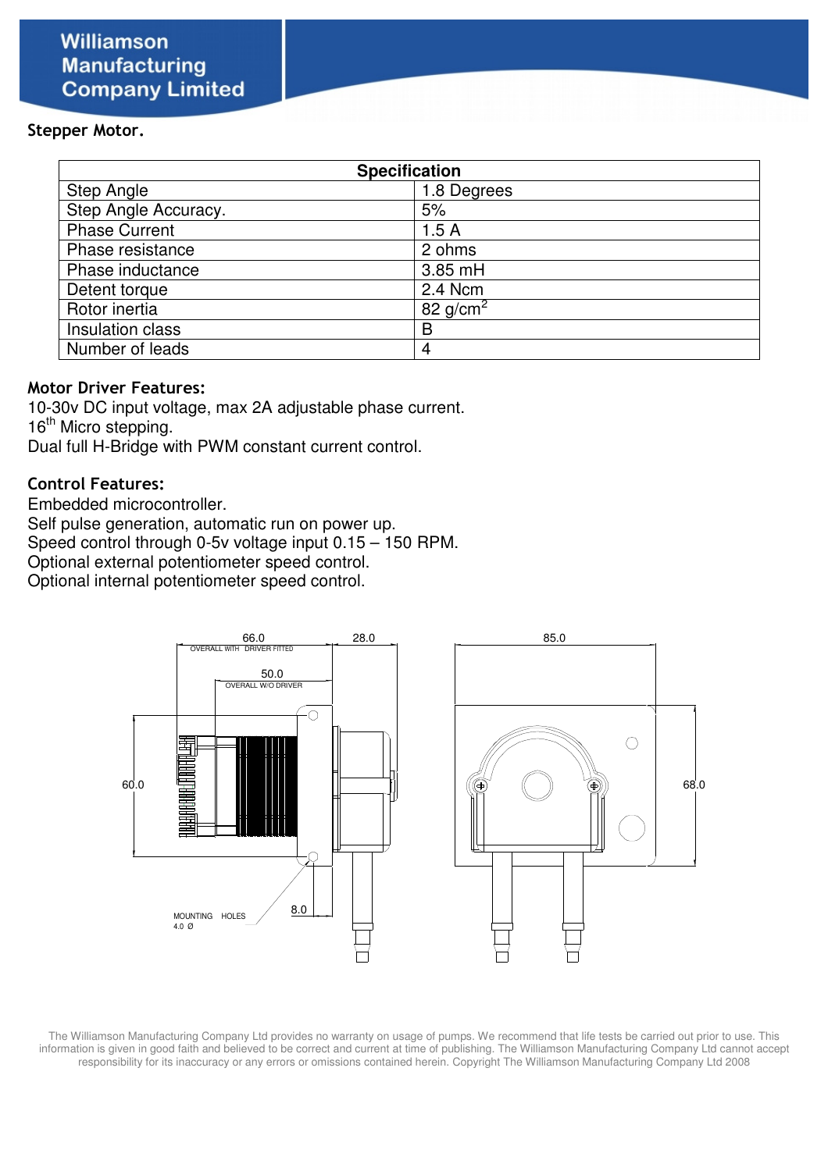#### Stepper Motor.

| <b>Specification</b> |             |  |  |  |  |
|----------------------|-------------|--|--|--|--|
| Step Angle           | 1.8 Degrees |  |  |  |  |
| Step Angle Accuracy. | 5%          |  |  |  |  |
| <b>Phase Current</b> | 1.5A        |  |  |  |  |
| Phase resistance     | 2 ohms      |  |  |  |  |
| Phase inductance     | 3.85 mH     |  |  |  |  |
| Detent torque        | 2.4 Ncm     |  |  |  |  |
| Rotor inertia        | 82 $q/cm2$  |  |  |  |  |
| Insulation class     | B           |  |  |  |  |
| Number of leads      | 4           |  |  |  |  |

#### Motor Driver Features:

10-30v DC input voltage, max 2A adjustable phase current. 16<sup>th</sup> Micro stepping. Dual full H-Bridge with PWM constant current control.

#### Control Features:

Embedded microcontroller.

Self pulse generation, automatic run on power up.

Speed control through 0-5v voltage input 0.15 – 150 RPM.

Optional external potentiometer speed control.

Optional internal potentiometer speed control.